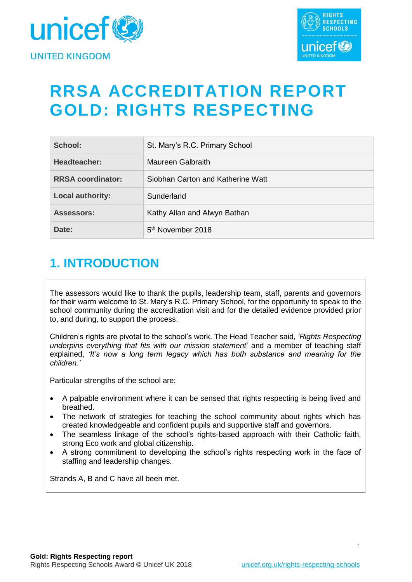



## **RRSA ACCREDITATION REPORT GOLD: RIGHTS RESPECTING**

| School:                  | St. Mary's R.C. Primary School    |
|--------------------------|-----------------------------------|
| Headteacher:             | Maureen Galbraith                 |
| <b>RRSA coordinator:</b> | Siobhan Carton and Katherine Watt |
| <b>Local authority:</b>  | Sunderland                        |
| <b>Assessors:</b>        | Kathy Allan and Alwyn Bathan      |
| Date:                    | 5 <sup>th</sup> November 2018     |

## **1. INTRODUCTION**

The assessors would like to thank the pupils, leadership team, staff, parents and governors for their warm welcome to St. Mary's R.C. Primary School, for the opportunity to speak to the school community during the accreditation visit and for the detailed evidence provided prior to, and during, to support the process.

Children's rights are pivotal to the school's work. The Head Teacher said, *'Rights Respecting underpins everything that fits with our mission statement*' and a member of teaching staff explained, *'It's now a long term legacy which has both substance and meaning for the children.'*

Particular strengths of the school are:

- A palpable environment where it can be sensed that rights respecting is being lived and breathed.
- The network of strategies for teaching the school community about rights which has created knowledgeable and confident pupils and supportive staff and governors.
- The seamless linkage of the school's rights-based approach with their Catholic faith, strong Eco work and global citizenship.
- A strong commitment to developing the school's rights respecting work in the face of staffing and leadership changes.

Strands A, B and C have all been met.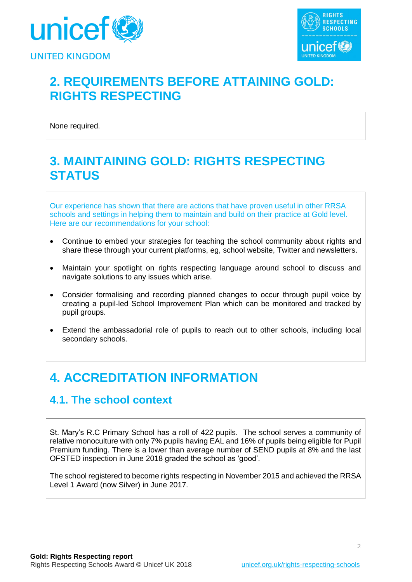



## **2. REQUIREMENTS BEFORE ATTAINING GOLD: RIGHTS RESPECTING**

None required.

## **3. MAINTAINING GOLD: RIGHTS RESPECTING STATUS**

Our experience has shown that there are actions that have proven useful in other RRSA schools and settings in helping them to maintain and build on their practice at Gold level. Here are our recommendations for your school:

- Continue to embed your strategies for teaching the school community about rights and share these through your current platforms, eg, school website, Twitter and newsletters.
- Maintain your spotlight on rights respecting language around school to discuss and navigate solutions to any issues which arise.
- Consider formalising and recording planned changes to occur through pupil voice by creating a pupil-led School Improvement Plan which can be monitored and tracked by pupil groups.
- Extend the ambassadorial role of pupils to reach out to other schools, including local secondary schools.

## **4. ACCREDITATION INFORMATION**

### **4.1. The school context**

St. Mary's R.C Primary School has a roll of 422 pupils. The school serves a community of relative monoculture with only 7% pupils having EAL and 16% of pupils being eligible for Pupil Premium funding. There is a lower than average number of SEND pupils at 8% and the last OFSTED inspection in June 2018 graded the school as 'good'.

The school registered to become rights respecting in November 2015 and achieved the RRSA Level 1 Award (now Silver) in June 2017.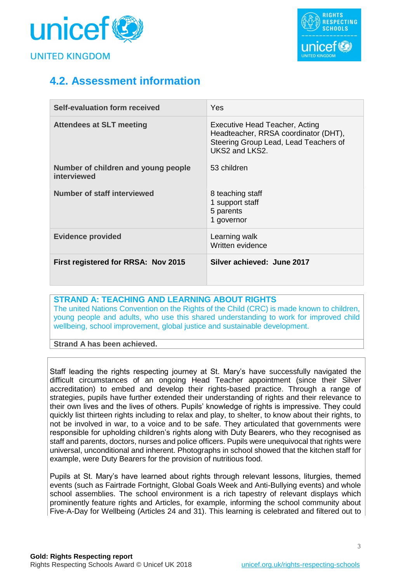



## **4.2. Assessment information**

| Self-evaluation form received                      | <b>Yes</b>                                                                                                                        |
|----------------------------------------------------|-----------------------------------------------------------------------------------------------------------------------------------|
| <b>Attendees at SLT meeting</b>                    | Executive Head Teacher, Acting<br>Headteacher, RRSA coordinator (DHT),<br>Steering Group Lead, Lead Teachers of<br>UKS2 and LKS2. |
| Number of children and young people<br>interviewed | 53 children                                                                                                                       |
| Number of staff interviewed                        | 8 teaching staff<br>1 support staff<br>5 parents<br>1 governor                                                                    |
| <b>Evidence provided</b>                           | Learning walk<br>Written evidence                                                                                                 |
| First registered for RRSA: Nov 2015                | Silver achieved: June 2017                                                                                                        |

#### **STRAND A: TEACHING AND LEARNING ABOUT RIGHTS**

The united Nations Convention on the Rights of the Child (CRC) is made known to children, young people and adults, who use this shared understanding to work for improved child wellbeing, school improvement, global justice and sustainable development.

**Strand A has been achieved.**

Staff leading the rights respecting journey at St. Mary's have successfully navigated the difficult circumstances of an ongoing Head Teacher appointment (since their Silver accreditation) to embed and develop their rights-based practice. Through a range of strategies, pupils have further extended their understanding of rights and their relevance to their own lives and the lives of others. Pupils' knowledge of rights is impressive. They could quickly list thirteen rights including to relax and play, to shelter, to know about their rights, to not be involved in war, to a voice and to be safe. They articulated that governments were responsible for upholding children's rights along with Duty Bearers, who they recognised as staff and parents, doctors, nurses and police officers. Pupils were unequivocal that rights were universal, unconditional and inherent. Photographs in school showed that the kitchen staff for example, were Duty Bearers for the provision of nutritious food.

Pupils at St. Mary's have learned about rights through relevant lessons, liturgies, themed events (such as Fairtrade Fortnight, Global Goals Week and Anti-Bullying events) and whole school assemblies. The school environment is a rich tapestry of relevant displays which prominently feature rights and Articles, for example, informing the school community about Five-A-Day for Wellbeing (Articles 24 and 31). This learning is celebrated and filtered out to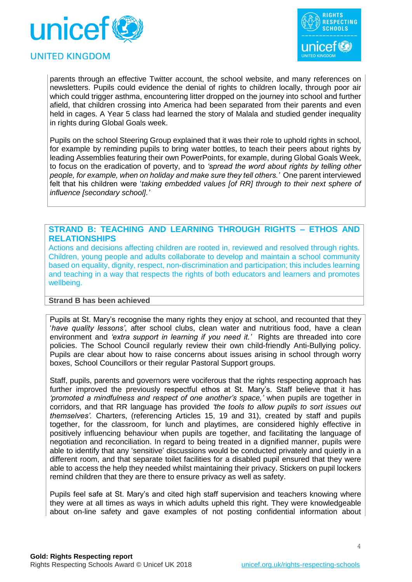



#### **UNITED KINGDOM**

parents through an effective Twitter account, the school website, and many references on newsletters. Pupils could evidence the denial of rights to children locally, through poor air which could trigger asthma, encountering litter dropped on the journey into school and further afield, that children crossing into America had been separated from their parents and even held in cages. A Year 5 class had learned the story of Malala and studied gender inequality in rights during Global Goals week.

Pupils on the school Steering Group explained that it was their role to uphold rights in school, for example by reminding pupils to bring water bottles, to teach their peers about rights by leading Assemblies featuring their own PowerPoints, for example, during Global Goals Week, to focus on the eradication of poverty, and to *'spread the word about rights by telling other people, for example, when on holiday and make sure they tell others.'* One parent interviewed felt that his children were '*taking embedded values [of RR] through to their next sphere of influence [secondary school].'*

#### **STRAND B: TEACHING AND LEARNING THROUGH RIGHTS – ETHOS AND RELATIONSHIPS**

Actions and decisions affecting children are rooted in, reviewed and resolved through rights. Children, young people and adults collaborate to develop and maintain a school community based on equality, dignity, respect, non-discrimination and participation; this includes learning and teaching in a way that respects the rights of both educators and learners and promotes wellbeing.

#### **Strand B has been achieved**

Pupils at St. Mary's recognise the many rights they enjoy at school, and recounted that they '*have quality lessons'*, after school clubs, clean water and nutritious food, have a clean environment and *'extra support in learning if you need it.'* Rights are threaded into core policies. The School Council regularly review their own child-friendly Anti-Bullying policy. Pupils are clear about how to raise concerns about issues arising in school through worry boxes, School Councillors or their regular Pastoral Support groups.

Staff, pupils, parents and governors were vociferous that the rights respecting approach has further improved the previously respectful ethos at St. Mary's. Staff believe that it has *'promoted a mindfulness and respect of one another's space,'* when pupils are together in corridors, and that RR language has provided *'the tools to allow pupils to sort issues out themselves'.* Charters, (referencing Articles 15, 19 and 31), created by staff and pupils together, for the classroom, for lunch and playtimes, are considered highly effective in positively influencing behaviour when pupils are together, and facilitating the language of negotiation and reconciliation. In regard to being treated in a dignified manner, pupils were able to identify that any 'sensitive' discussions would be conducted privately and quietly in a different room, and that separate toilet facilities for a disabled pupil ensured that they were able to access the help they needed whilst maintaining their privacy. Stickers on pupil lockers remind children that they are there to ensure privacy as well as safety.

Pupils feel safe at St. Mary's and cited high staff supervision and teachers knowing where they were at all times as ways in which adults upheld this right. They were knowledgeable about on-line safety and gave examples of not posting confidential information about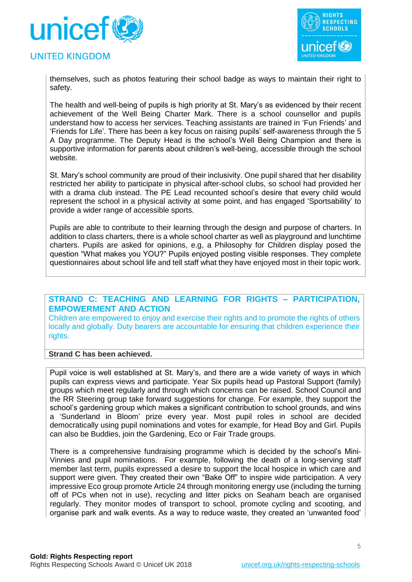

#### **UNITED KINGDOM**



themselves, such as photos featuring their school badge as ways to maintain their right to safety.

The health and well-being of pupils is high priority at St. Mary's as evidenced by their recent achievement of the Well Being Charter Mark. There is a school counsellor and pupils understand how to access her services. Teaching assistants are trained in 'Fun Friends' and 'Friends for Life'. There has been a key focus on raising pupils' self-awareness through the 5 A Day programme. The Deputy Head is the school's Well Being Champion and there is supportive information for parents about children's well-being, accessible through the school website.

St. Mary's school community are proud of their inclusivity. One pupil shared that her disability restricted her ability to participate in physical after-school clubs, so school had provided her with a drama club instead. The PE Lead recounted school's desire that every child would represent the school in a physical activity at some point, and has engaged 'Sportsability' to provide a wider range of accessible sports.

Pupils are able to contribute to their learning through the design and purpose of charters. In addition to class charters, there is a whole school charter as well as playground and lunchtime charters. Pupils are asked for opinions, e.g, a Philosophy for Children display posed the question "What makes you YOU?" Pupils enjoyed posting visible responses. They complete questionnaires about school life and tell staff what they have enjoyed most in their topic work.

#### **STRAND C: TEACHING AND LEARNING FOR RIGHTS – PARTICIPATION, EMPOWERMENT AND ACTION**

Children are empowered to enjoy and exercise their rights and to promote the rights of others locally and globally. Duty bearers are accountable for ensuring that children experience their rights.

#### **Strand C has been achieved.**

Pupil voice is well established at St. Mary's, and there are a wide variety of ways in which pupils can express views and participate. Year Six pupils head up Pastoral Support (family) groups which meet regularly and through which concerns can be raised. School Council and the RR Steering group take forward suggestions for change. For example, they support the school's gardening group which makes a significant contribution to school grounds, and wins a 'Sunderland in Bloom' prize every year. Most pupil roles in school are decided democratically using pupil nominations and votes for example, for Head Boy and Girl. Pupils can also be Buddies, join the Gardening, Eco or Fair Trade groups.

There is a comprehensive fundraising programme which is decided by the school's Mini-Vinnies and pupil nominations. For example, following the death of a long-serving staff member last term, pupils expressed a desire to support the local hospice in which care and support were given. They created their own "Bake Off" to inspire wide participation. A very impressive Eco group promote Article 24 through monitoring energy use (including the turning off of PCs when not in use), recycling and litter picks on Seaham beach are organised regularly. They monitor modes of transport to school, promote cycling and scooting, and organise park and walk events. As a way to reduce waste, they created an 'unwanted food'